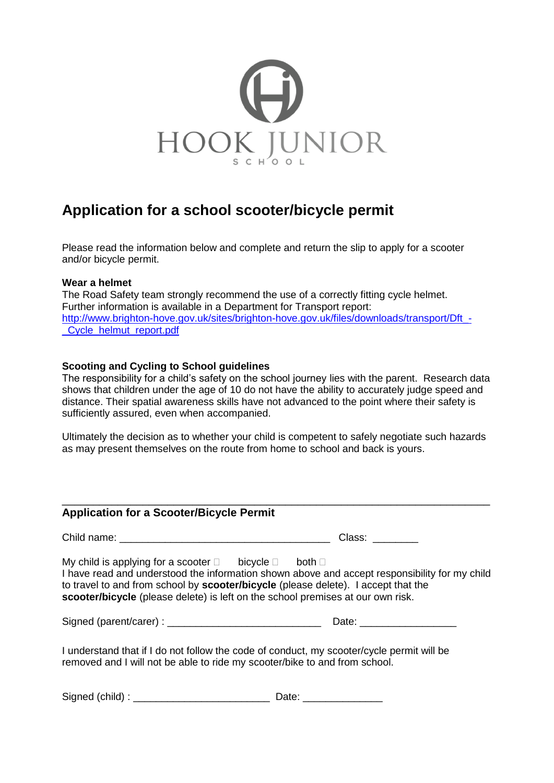

## **Application for a school scooter/bicycle permit**

Please read the information below and complete and return the slip to apply for a scooter and/or bicycle permit.

## **Wear a helmet**

The Road Safety team strongly recommend the use of a correctly fitting cycle helmet. Further information is available in a Department for Transport report: [http://www.brighton-hove.gov.uk/sites/brighton-hove.gov.uk/files/downloads/transport/Dft\\_-](http://www.brighton-hove.gov.uk/sites/brighton-hove.gov.uk/files/downloads/transport/Dft_-_Cycle_helmut_report.pdf) [\\_Cycle\\_helmut\\_report.pdf](http://www.brighton-hove.gov.uk/sites/brighton-hove.gov.uk/files/downloads/transport/Dft_-_Cycle_helmut_report.pdf)

## **Scooting and Cycling to School guidelines**

The responsibility for a child's safety on the school journey lies with the parent. Research data shows that children under the age of 10 do not have the ability to accurately judge speed and distance. Their spatial awareness skills have not advanced to the point where their safety is sufficiently assured, even when accompanied.

Ultimately the decision as to whether your child is competent to safely negotiate such hazards as may present themselves on the route from home to school and back is yours.

| <b>Application for a Scooter/Bicycle Permit</b>                                                                                                                                                                                                      |                                                                                               |
|------------------------------------------------------------------------------------------------------------------------------------------------------------------------------------------------------------------------------------------------------|-----------------------------------------------------------------------------------------------|
|                                                                                                                                                                                                                                                      | Class: Class:                                                                                 |
| My child is applying for a scooter $\Box$ bicycle $\Box$ both $\Box$<br>to travel to and from school by <b>scooter/bicycle</b> (please delete). I accept that the<br>scooter/bicycle (please delete) is left on the school premises at our own risk. | I have read and understood the information shown above and accept responsibility for my child |
|                                                                                                                                                                                                                                                      |                                                                                               |
| I understand that if I do not follow the code of conduct, my scooter/cycle permit will be<br>removed and I will not be able to ride my scooter/bike to and from school.                                                                              |                                                                                               |

| Signed (child)<br>ate: |  |
|------------------------|--|
|------------------------|--|